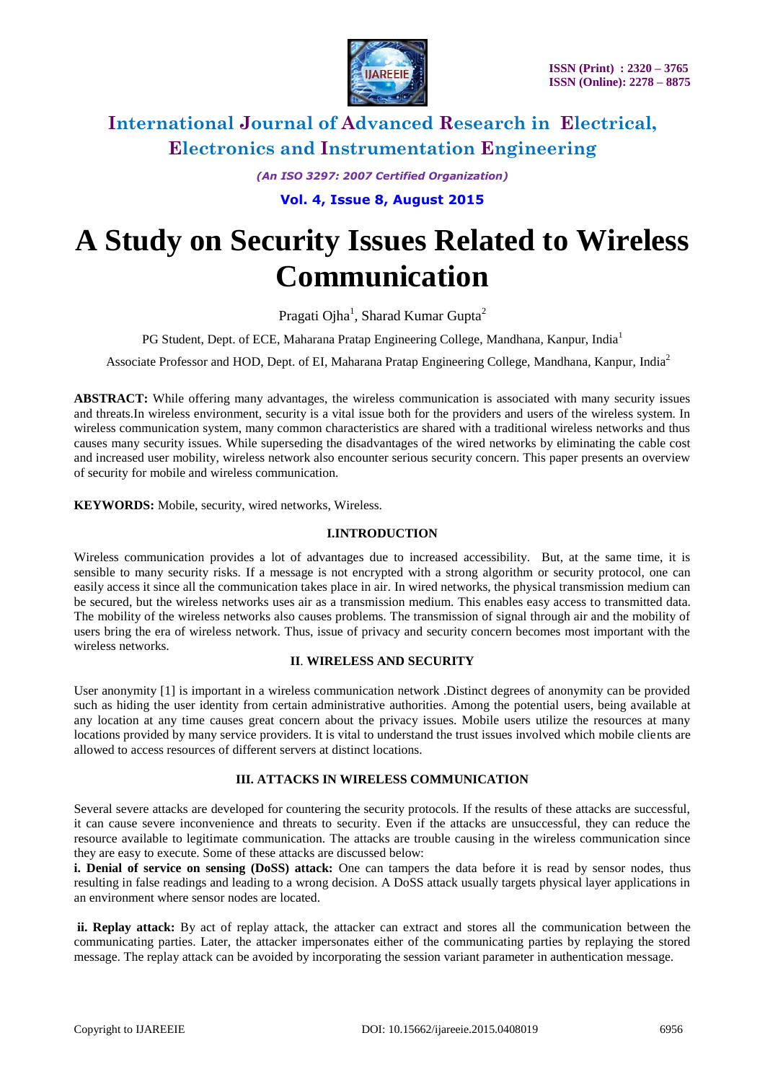

# **International Journal of Advanced Research in Electrical, Electronics and Instrumentation Engineering**

*(An ISO 3297: 2007 Certified Organization)*

**Vol. 4, Issue 8, August 2015**

# **A Study on Security Issues Related to Wireless Communication**

Pragati Ojha<sup>1</sup>, Sharad Kumar Gupta<sup>2</sup>

PG Student, Dept. of ECE, Maharana Pratap Engineering College, Mandhana, Kanpur, India<sup>1</sup>

Associate Professor and HOD, Dept. of EI, Maharana Pratap Engineering College, Mandhana, Kanpur, India<sup>2</sup>

**ABSTRACT:** While offering many advantages, the wireless communication is associated with many security issues and threats.In wireless environment, security is a vital issue both for the providers and users of the wireless system. In wireless communication system, many common characteristics are shared with a traditional wireless networks and thus causes many security issues. While superseding the disadvantages of the wired networks by eliminating the cable cost and increased user mobility, wireless network also encounter serious security concern. This paper presents an overview of security for mobile and wireless communication.

**KEYWORDS:** Mobile, security, wired networks, Wireless.

#### **I.INTRODUCTION**

Wireless communication provides a lot of advantages due to increased accessibility. But, at the same time, it is sensible to many security risks. If a message is not encrypted with a strong algorithm or security protocol, one can easily access it since all the communication takes place in air. In wired networks, the physical transmission medium can be secured, but the wireless networks uses air as a transmission medium. This enables easy access to transmitted data. The mobility of the wireless networks also causes problems. The transmission of signal through air and the mobility of users bring the era of wireless network. Thus, issue of privacy and security concern becomes most important with the wireless networks.

#### **II**. **WIRELESS AND SECURITY**

User anonymity [1] is important in a wireless communication network .Distinct degrees of anonymity can be provided such as hiding the user identity from certain administrative authorities. Among the potential users, being available at any location at any time causes great concern about the privacy issues. Mobile users utilize the resources at many locations provided by many service providers. It is vital to understand the trust issues involved which mobile clients are allowed to access resources of different servers at distinct locations.

### **III. ATTACKS IN WIRELESS COMMUNICATION**

Several severe attacks are developed for countering the security protocols. If the results of these attacks are successful, it can cause severe inconvenience and threats to security. Even if the attacks are unsuccessful, they can reduce the resource available to legitimate communication. The attacks are trouble causing in the wireless communication since they are easy to execute. Some of these attacks are discussed below:

**i. Denial of service on sensing (DoSS) attack:** One can tampers the data before it is read by sensor nodes, thus resulting in false readings and leading to a wrong decision. A DoSS attack usually targets physical layer applications in an environment where sensor nodes are located.

**ii. Replay attack:** By act of replay attack, the attacker can extract and stores all the communication between the communicating parties. Later, the attacker impersonates either of the communicating parties by replaying the stored message. The replay attack can be avoided by incorporating the session variant parameter in authentication message.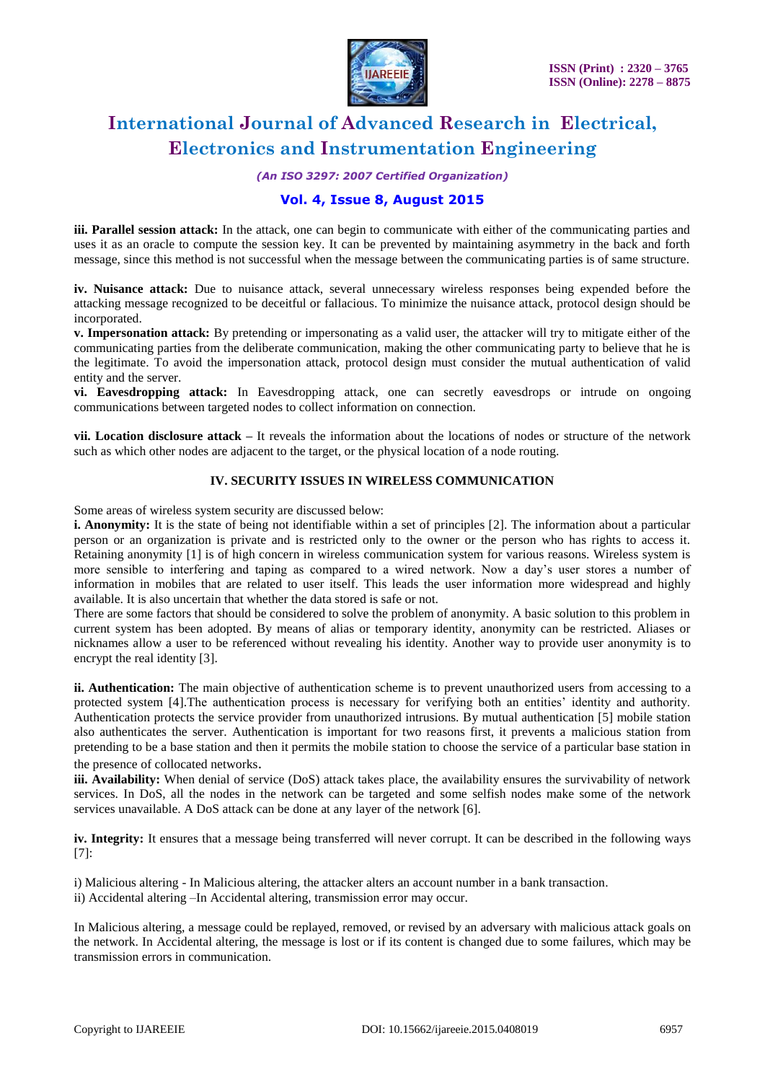

# **International Journal of Advanced Research in Electrical, Electronics and Instrumentation Engineering**

*(An ISO 3297: 2007 Certified Organization)*

## **Vol. 4, Issue 8, August 2015**

**iii. Parallel session attack:** In the attack, one can begin to communicate with either of the communicating parties and uses it as an oracle to compute the session key. It can be prevented by maintaining asymmetry in the back and forth message, since this method is not successful when the message between the communicating parties is of same structure.

**iv. Nuisance attack:** Due to nuisance attack, several unnecessary wireless responses being expended before the attacking message recognized to be deceitful or fallacious. To minimize the nuisance attack, protocol design should be incorporated.

**v. Impersonation attack:** By pretending or impersonating as a valid user, the attacker will try to mitigate either of the communicating parties from the deliberate communication, making the other communicating party to believe that he is the legitimate. To avoid the impersonation attack, protocol design must consider the mutual authentication of valid entity and the server.

**vi. Eavesdropping attack:** In Eavesdropping attack, one can secretly eavesdrops or intrude on ongoing communications between targeted nodes to collect information on connection.

**vii. Location disclosure attack –** It reveals the information about the locations of nodes or structure of the network such as which other nodes are adjacent to the target, or the physical location of a node routing.

### **IV. SECURITY ISSUES IN WIRELESS COMMUNICATION**

Some areas of wireless system security are discussed below:

**i. Anonymity:** It is the state of being not identifiable within a set of principles [2]. The information about a particular person or an organization is private and is restricted only to the owner or the person who has rights to access it. Retaining anonymity [1] is of high concern in wireless communication system for various reasons. Wireless system is more sensible to interfering and taping as compared to a wired network. Now a day's user stores a number of information in mobiles that are related to user itself. This leads the user information more widespread and highly available. It is also uncertain that whether the data stored is safe or not.

There are some factors that should be considered to solve the problem of anonymity. A basic solution to this problem in current system has been adopted. By means of alias or temporary identity, anonymity can be restricted. Aliases or nicknames allow a user to be referenced without revealing his identity. Another way to provide user anonymity is to encrypt the real identity [3].

**ii. Authentication:** The main objective of authentication scheme is to prevent unauthorized users from accessing to a protected system [4].The authentication process is necessary for verifying both an entities' identity and authority. Authentication protects the service provider from unauthorized intrusions. By mutual authentication [5] mobile station also authenticates the server. Authentication is important for two reasons first, it prevents a malicious station from pretending to be a base station and then it permits the mobile station to choose the service of a particular base station in the presence of collocated networks.

**iii. Availability:** When denial of service (DoS) attack takes place, the availability ensures the survivability of network services. In DoS, all the nodes in the network can be targeted and some selfish nodes make some of the network services unavailable. A DoS attack can be done at any layer of the network [6].

**iv. Integrity:** It ensures that a message being transferred will never corrupt. It can be described in the following ways [7]:

i) Malicious altering - In Malicious altering, the attacker alters an account number in a bank transaction. ii) Accidental altering –In Accidental altering, transmission error may occur.

In Malicious altering, a message could be replayed, removed, or revised by an adversary with malicious attack goals on the network. In Accidental altering, the message is lost or if its content is changed due to some failures, which may be transmission errors in communication.